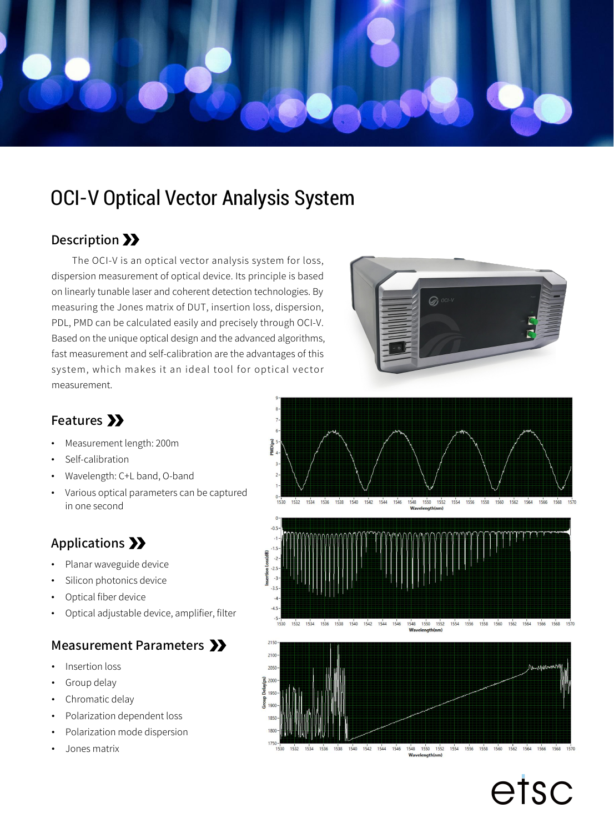

# OCI-V Optical Vector Analysis System

#### Description >>

The OCI-V is an optical vector analysis system for loss, dispersion measurement of optical device. Its principle is based on linearly tunable laser and coherent detection technologies. By measuring the Jones matrix of DUT, insertion loss, dispersion, PDL, PMD can be calculated easily and precisely through OCI-V. Based on the unique optical design and the advanced algorithms, fast measurement and self-calibration are the advantages of this system, which makes it an ideal tool for optical vector measurement.



## Features >>

- Measurement length: 200m
- Self-calibration
- Wavelength: C+L band, O-band
- Various optical parameters can be captured<br>
in one sessend in one second

#### Applications >>

- Planar waveguide device
- Silicon photonics device
- Optical fiber device
- 

# Measurement Parameters >>

- Insertion loss
- Group delay
- Chromatic delay
- Polarization dependent loss
- Polarization mode dispersion
- Jones matrix



etsc